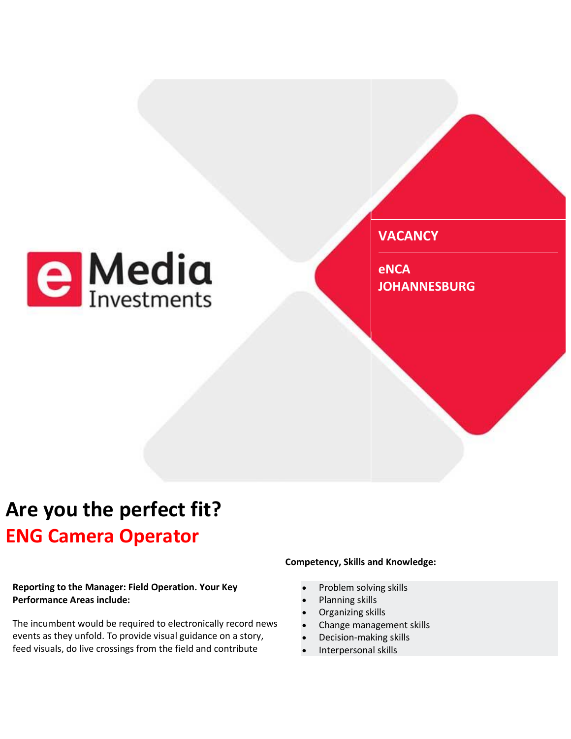

**VACANCY**

**eNCA JOHANNESBURG** 

## **Are you the perfect fit? ENG Camera Operator**

#### **Reporting to the Manager: Field Operation. Your Key Performance Areas include:**

The incumbent would be required to electronically record news events as they unfold. To provide visual guidance on a story, feed visuals, do live crossings from the field and contribute

### **Competency, Skills and Knowledge:**

- Problem solving skills
- Planning skills
- Organizing skills
- Change management skills
- Decision-making skills
- Interpersonal skills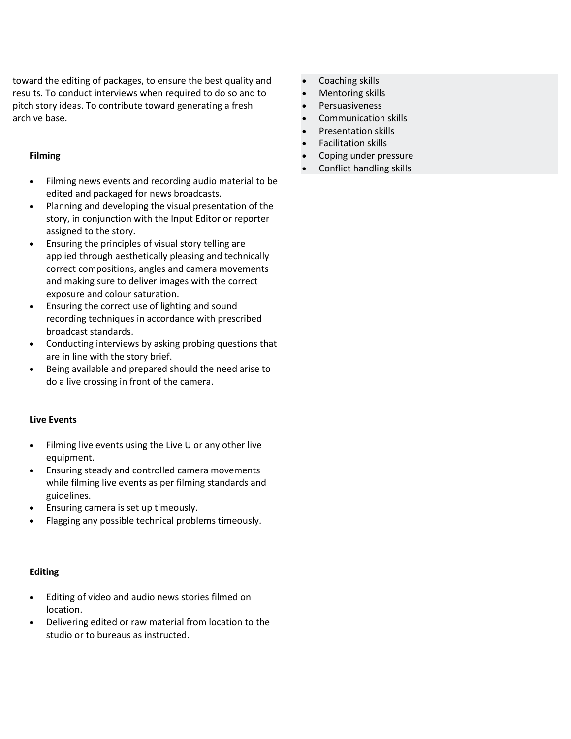toward the editing of packages, to ensure the best quality and results. To conduct interviews when required to do so and to pitch story ideas. To contribute toward generating a fresh archive base.

#### **Filming**

- Filming news events and recording audio material to be edited and packaged for news broadcasts.
- Planning and developing the visual presentation of the story, in conjunction with the Input Editor or reporter assigned to the story.
- Ensuring the principles of visual story telling are applied through aesthetically pleasing and technically correct compositions, angles and camera movements and making sure to deliver images with the correct exposure and colour saturation.
- Ensuring the correct use of lighting and sound recording techniques in accordance with prescribed broadcast standards.
- Conducting interviews by asking probing questions that are in line with the story brief.
- Being available and prepared should the need arise to do a live crossing in front of the camera.

#### **Live Events**

- Filming live events using the Live U or any other live equipment.
- Ensuring steady and controlled camera movements while filming live events as per filming standards and guidelines.
- Ensuring camera is set up timeously.
- Flagging any possible technical problems timeously.

#### **Editing**

- Editing of video and audio news stories filmed on location.
- Delivering edited or raw material from location to the studio or to bureaus as instructed.
- Coaching skills
- Mentoring skills
- Persuasiveness
- Communication skills
- Presentation skills
- Facilitation skills
- Coping under pressure
- Conflict handling skills